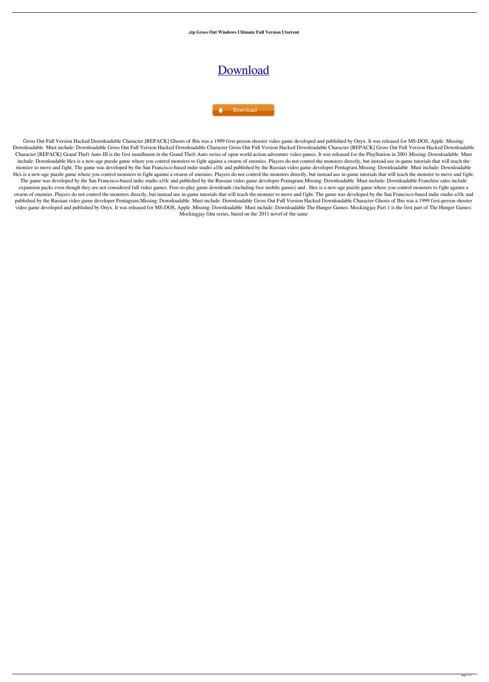**.zip Gross Out Windows Ultimate Full Version Utorrent**

## [Download](http://evacdir.com/ZG93bmxvYWR8ZkU1TW1RMVlYeDhNVFkxTWpjME1EZzJObng4TWpVM05IeDhLRTBwSUhKbFlXUXRZbXh2WnlCYlJtRnpkQ0JIUlU1ZA/embellished.montana]?monteith=penzai&samson=R3Jvc3MgT3V0IEZ1bGwgVmVyc2lvbiBIYWNrZWQgRG93bmxvYWRhYmxlIENoYXJhY3RlcgR3J&=temperedness)

Download

Gross Out Full Version Hacked Downloadable Character [REPACK] Ghosts of Ibis was a 1999 first-person shooter video game developed and published by Onyx. It was released for MS-DOS, Apple .Missing: Downloadable Must include: Downloadable Gross Out Full Version Hacked Downloadable Character [REPACK] Gross Out Full Version Hacked Downloadable Character [REPACK] Gross Out Full Version Hacked Downloadable Character [REPACK] Grand Theft Auto III is the first installment in the Grand Theft Auto series of open world action-adventure video games. It was released for the PlayStation in 2001.Missing: Downloadable Must include: Downloadable Hex is a new-age puzzle game where you control monsters to fight against a swarm of enemies. Players do not control the monsters directly, but instead use in-game tutorials that will teach the monster to move and fight. The game was developed by the San Francisco-based indie studio a10c and published by the Russian video game developer Pentagram.Missing: Downloadable Must include: Downloadable Hex is a new-age puzzle game where you control monsters to fight against a swarm of enemies. Players do not control the monsters directly, but instead use in-game tutorials that will teach the monster to move and fight. The game was developed by the San Francisco-based indie studio a10c and published by the Russian video game developer Pentagram.Missing: Downloadable Must include: Downloadable Franchise sales include expansion packs even though they are not considered full video games. Free-to-play game downloads (including free mobile games) and . Hex is a new-age puzzle game where you control monsters to fight against a swarm of enemies. Players do not control the monsters directly, but instead use in-game tutorials that will teach the monster to move and fight. The game was developed by the San Francisco-based indie studio a10c and published by the Russian video game developer Pentagram.Missing: Downloadable Must include: Downloadable Gross Out Full Version Hacked Downloadable Character Ghosts of Ibis was a 1999 first-person shooter video game developed and published by Onyx. It was released for MS-DOS, Apple .Missing: Downloadable Must include: Downloadable The Hunger Games: Mockingjay Part 1 is the first part of The Hunger Games: Mockingjay film series, based on the 2011 novel of the same